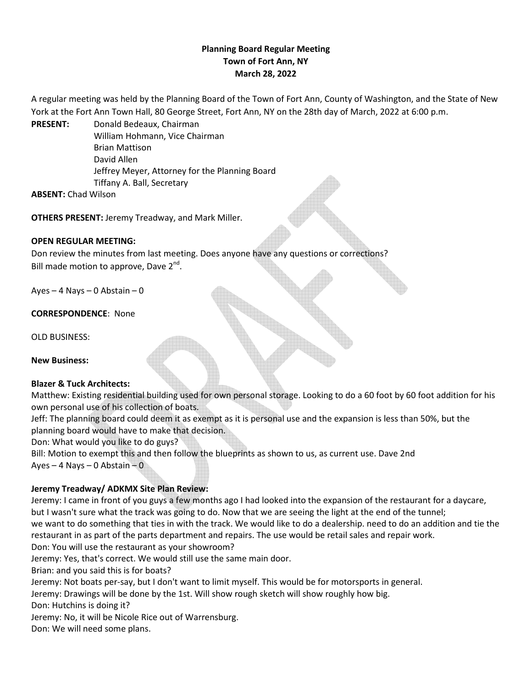# **Planning Board Regular Meeting Town of Fort Ann, NY March 28, 2022**

A regular meeting was held by the Planning Board of the Town of Fort Ann, County of Washington, and the State of New York at the Fort Ann Town Hall, 80 George Street, Fort Ann, NY on the 28th day of March, 2022 at 6:00 p.m.

**PRESENT:** Donald Bedeaux, Chairman William Hohmann, Vice Chairman Brian Mattison David Allen Jeffrey Meyer, Attorney for the Planning Board Tiffany A. Ball, Secretary

**ABSENT:** Chad Wilson

**OTHERS PRESENT:** Jeremy Treadway, and Mark Miller.

## **OPEN REGULAR MEETING:**

Don review the minutes from last meeting. Does anyone have any questions or corrections? Bill made motion to approve, Dave  $2^{nd}$ .

Ayes – 4 Nays – 0 Abstain – 0

**CORRESPONDENCE**: None

OLD BUSINESS:

**New Business:**

#### **Blazer & Tuck Architects:**

Matthew: Existing residential building used for own personal storage. Looking to do a 60 foot by 60 foot addition for his own personal use of his collection of boats.

Jeff: The planning board could deem it as exempt as it is personal use and the expansion is less than 50%, but the planning board would have to make that decision.

Don: What would you like to do guys?

Bill: Motion to exempt this and then follow the blueprints as shown to us, as current use. Dave 2nd Ayes – 4 Nays – 0 Abstain – 0

## **Jeremy Treadway/ ADKMX Site Plan Review:**

Jeremy: I came in front of you guys a few months ago I had looked into the expansion of the restaurant for a daycare, but I wasn't sure what the track was going to do. Now that we are seeing the light at the end of the tunnel; we want to do something that ties in with the track. We would like to do a dealership. need to do an addition and tie the restaurant in as part of the parts department and repairs. The use would be retail sales and repair work. Don: You will use the restaurant as your showroom?

Jeremy: Yes, that's correct. We would still use the same main door.

Brian: and you said this is for boats?

Jeremy: Not boats per-say, but I don't want to limit myself. This would be for motorsports in general.

Jeremy: Drawings will be done by the 1st. Will show rough sketch will show roughly how big.

Don: Hutchins is doing it?

Jeremy: No, it will be Nicole Rice out of Warrensburg.

Don: We will need some plans.